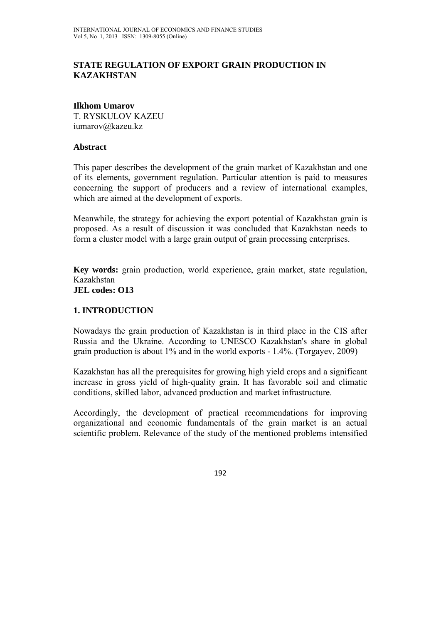#### **STATE REGULATION OF EXPORT GRAIN PRODUCTION IN KAZAKHSTAN**

#### **Ilkhom Umarov**

T. RYSKULOV KAZEU iumarov@kazeu.kz

#### **Abstract**

This paper describes the development of the grain market of Kazakhstan and one of its elements, government regulation. Particular attention is paid to measures concerning the support of producers and a review of international examples, which are aimed at the development of exports.

Meanwhile, the strategy for achieving the export potential of Kazakhstan grain is proposed. As a result of discussion it was concluded that Kazakhstan needs to form a cluster model with a large grain output of grain processing enterprises.

**Key words:** grain production, world experience, grain market, state regulation, Kazakhstan **JEL codes: O13** 

# **1. INTRODUCTION**

Nowadays the grain production of Kazakhstan is in third place in the CIS after Russia and the Ukraine. According to UNESCO Kazakhstan's share in global grain production is about 1% and in the world exports - 1.4%. (Torgayev, 2009)

Kazakhstan has all the prerequisites for growing high yield crops and a significant increase in gross yield of high-quality grain. It has favorable soil and climatic conditions, skilled labor, advanced production and market infrastructure.

Accordingly, the development of practical recommendations for improving organizational and economic fundamentals of the grain market is an actual scientific problem. Relevance of the study of the mentioned problems intensified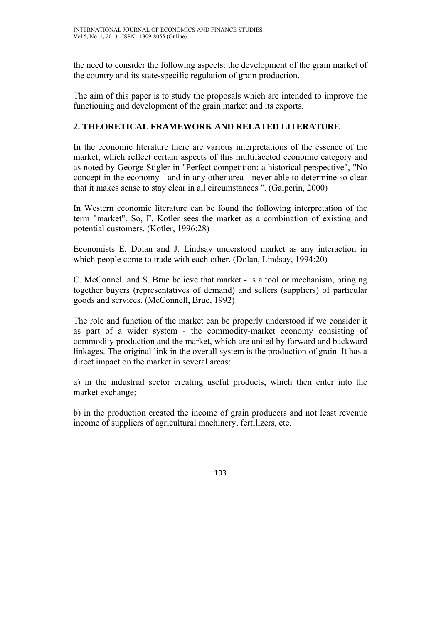the need to consider the following aspects: the development of the grain market of the country and its state-specific regulation of grain production.

The aim of this paper is to study the proposals which are intended to improve the functioning and development of the grain market and its exports.

## **2. THEORETICAL FRAMEWORK AND RELATED LITERATURE**

In the economic literature there are various interpretations of the essence of the market, which reflect certain aspects of this multifaceted economic category and as noted by George Stigler in "Perfect competition: a historical perspective", "No concept in the economy - and in any other area - never able to determine so clear that it makes sense to stay clear in all circumstances ". (Galperin, 2000)

In Western economic literature can be found the following interpretation of the term "market". So, F. Kotler sees the market as a combination of existing and potential customers. (Kotler, 1996:28)

Economists E. Dolan and J. Lindsay understood market as any interaction in which people come to trade with each other. (Dolan, Lindsay, 1994:20)

C. McConnell and S. Brue believe that market - is a tool or mechanism, bringing together buyers (representatives of demand) and sellers (suppliers) of particular goods and services. (McConnell, Brue, 1992)

The role and function of the market can be properly understood if we consider it as part of a wider system - the commodity-market economy consisting of commodity production and the market, which are united by forward and backward linkages. The original link in the overall system is the production of grain. It has a direct impact on the market in several areas:

a) in the industrial sector creating useful products, which then enter into the market exchange;

b) in the production created the income of grain producers and not least revenue income of suppliers of agricultural machinery, fertilizers, etc.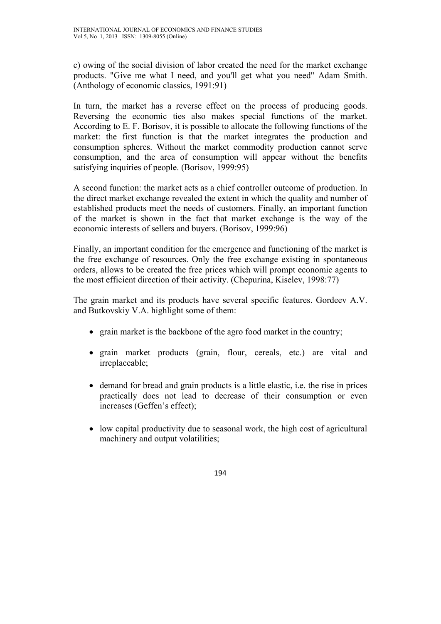c) owing of the social division of labor created the need for the market exchange products. "Give me what I need, and you'll get what you need" Adam Smith. (Anthology of economic classics, 1991:91)

In turn, the market has a reverse effect on the process of producing goods. Reversing the economic ties also makes special functions of the market. According to E. F. Borisov, it is possible to allocate the following functions of the market: the first function is that the market integrates the production and consumption spheres. Without the market commodity production cannot serve consumption, and the area of consumption will appear without the benefits satisfying inquiries of people. (Borisov, 1999:95)

A second function: the market acts as a chief controller outcome of production. In the direct market exchange revealed the extent in which the quality and number of established products meet the needs of customers. Finally, an important function of the market is shown in the fact that market exchange is the way of the economic interests of sellers and buyers. (Borisov, 1999:96)

Finally, an important condition for the emergence and functioning of the market is the free exchange of resources. Only the free exchange existing in spontaneous orders, allows to be created the free prices which will prompt economic agents to the most efficient direction of their activity. (Chepurina, Kiselev, 1998:77)

The grain market and its products have several specific features. Gordeev A.V. and Butkovskiy V.A. highlight some of them:

- grain market is the backbone of the agro food market in the country;
- grain market products (grain, flour, cereals, etc.) are vital and irreplaceable;
- demand for bread and grain products is a little elastic, i.e. the rise in prices practically does not lead to decrease of their consumption or even increases (Geffen's effect);
- low capital productivity due to seasonal work, the high cost of agricultural machinery and output volatilities;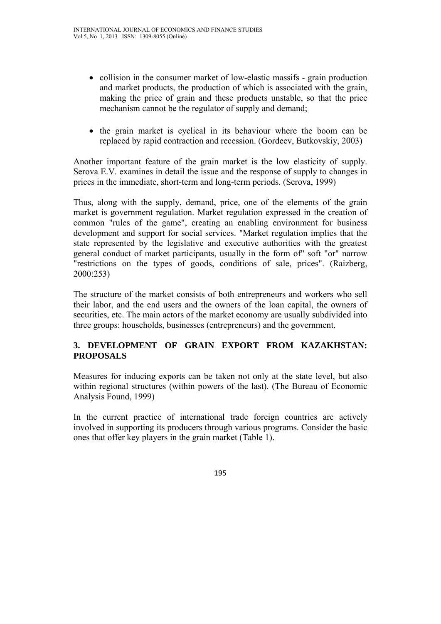- collision in the consumer market of low-elastic massifs grain production and market products, the production of which is associated with the grain, making the price of grain and these products unstable, so that the price mechanism cannot be the regulator of supply and demand;
- the grain market is cyclical in its behaviour where the boom can be replaced by rapid contraction and recession. (Gordeev, Butkovskiy, 2003)

Another important feature of the grain market is the low elasticity of supply. Serova E.V. examines in detail the issue and the response of supply to changes in prices in the immediate, short-term and long-term periods. (Serova, 1999)

Thus, along with the supply, demand, price, one of the elements of the grain market is government regulation. Market regulation expressed in the creation of common "rules of the game", creating an enabling environment for business development and support for social services. "Market regulation implies that the state represented by the legislative and executive authorities with the greatest general conduct of market participants, usually in the form of" soft "or" narrow "restrictions on the types of goods, conditions of sale, prices". (Raizberg, 2000:253)

The structure of the market consists of both entrepreneurs and workers who sell their labor, and the end users and the owners of the loan capital, the owners of securities, etc. The main actors of the market economy are usually subdivided into three groups: households, businesses (entrepreneurs) and the government.

## **3. DEVELOPMENT OF GRAIN EXPORT FROM KAZAKHSTAN: PROPOSALS**

Measures for inducing exports can be taken not only at the state level, but also within regional structures (within powers of the last). (The Bureau of Economic Analysis Found, 1999)

In the current practice of international trade foreign countries are actively involved in supporting its producers through various programs. Consider the basic ones that offer key players in the grain market (Table 1).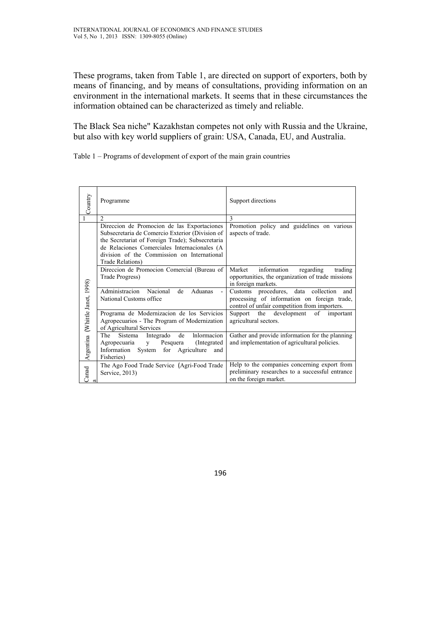These programs, taken from Table 1, are directed on support of exporters, both by means of financing, and by means of consultations, providing information on an environment in the international markets. It seems that in these circumstances the information obtained can be characterized as timely and reliable.

The Black Sea niche" Kazakhstan competes not only with Russia and the Ukraine, but also with key world suppliers of grain: USA, Canada, EU, and Australia.

Table 1 – Programs of development of export of the main grain countries

| Country                         | Programme                                                                                                                                                                                                                                                             | Support directions                                                                                                                            |  |  |  |
|---------------------------------|-----------------------------------------------------------------------------------------------------------------------------------------------------------------------------------------------------------------------------------------------------------------------|-----------------------------------------------------------------------------------------------------------------------------------------------|--|--|--|
|                                 | $\overline{c}$                                                                                                                                                                                                                                                        | 3                                                                                                                                             |  |  |  |
| Argentina (Whittle Janet, 1998) | Direccion de Promocion de las Exportaciones<br>Subsecretaria de Comercio Exterior (Division of<br>the Secretariat of Foreign Trade); Subsecretaria<br>de Relaciones Comerciales Internacionales (A<br>division of the Commission on International<br>Trade Relations) | Promotion policy and guidelines on various<br>aspects of trade.                                                                               |  |  |  |
|                                 | Direccion de Promocion Comercial (Bureau of<br>Trade Progress)                                                                                                                                                                                                        | Market<br>information<br>regarding<br>trading<br>opportunities, the organization of trade missions<br>in foreign markets.                     |  |  |  |
|                                 | Administracion<br>Nacional<br>de<br>Aduanas<br>National Customs office                                                                                                                                                                                                | data collection<br>Customs procedures,<br>and<br>processing of information on foreign trade,<br>control of unfair competition from importers. |  |  |  |
|                                 | Programa de Modernizacion de los Servicios<br>Agropecuarios - The Program of Modernization<br>of Agricultural Services                                                                                                                                                | Support the<br>development<br>of<br>important<br>agricultural sectors.                                                                        |  |  |  |
|                                 | Sistema<br>Informacion<br>The<br>Integrado<br>de<br>Agropecuaria<br>Pesquera<br>(Integrated)<br>V<br>Information<br>System<br>for Agriculture<br>and<br>Fisheries)                                                                                                    | Gather and provide information for the planning<br>and implementation of agricultural policies.                                               |  |  |  |
| Canad<br>ದ                      | The Ago Food Trade Service (Agri-Food Trade<br>Service, 2013)                                                                                                                                                                                                         | Help to the companies concerning export from<br>preliminary researches to a successful entrance<br>on the foreign market.                     |  |  |  |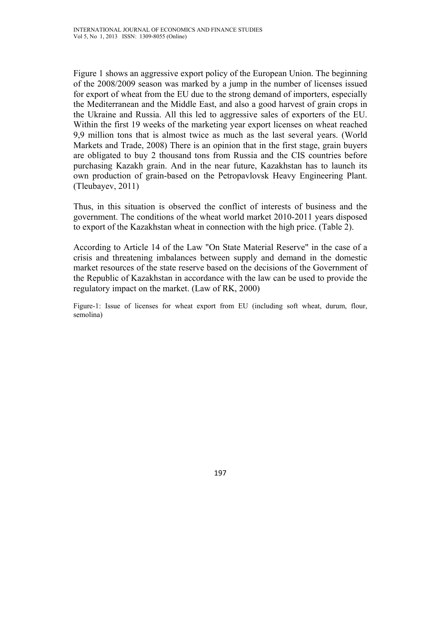Figure 1 shows an aggressive export policy of the European Union. The beginning of the 2008/2009 season was marked by a jump in the number of licenses issued for export of wheat from the EU due to the strong demand of importers, especially the Mediterranean and the Middle East, and also a good harvest of grain crops in the Ukraine and Russia. All this led to aggressive sales of exporters of the EU. Within the first 19 weeks of the marketing year export licenses on wheat reached 9,9 million tons that is almost twice as much as the last several years. (World Markets and Trade, 2008) There is an opinion that in the first stage, grain buyers are obligated to buy 2 thousand tons from Russia and the CIS countries before purchasing Kazakh grain. And in the near future, Kazakhstan has to launch its own production of grain-based on the Petropavlovsk Heavy Engineering Plant. (Tleubayev, 2011)

Thus, in this situation is observed the conflict of interests of business and the government. The conditions of the wheat world market 2010-2011 years disposed to export of the Kazakhstan wheat in connection with the high price. (Table 2).

According to Article 14 of the Law "On State Material Reserve" in the case of a crisis and threatening imbalances between supply and demand in the domestic market resources of the state reserve based on the decisions of the Government of the Republic of Kazakhstan in accordance with the law can be used to provide the regulatory impact on the market. (Law of RK, 2000)

Figure-1: Issue of licenses for wheat export from EU (including soft wheat, durum, flour, semolina)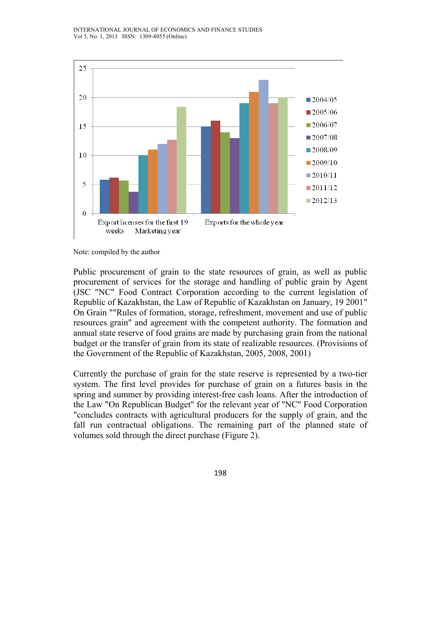

Note: compiled by the author

Public procurement of grain to the state resources of grain, as well as public procurement of services for the storage and handling of public grain by Agent (JSC "NC" Food Contract Corporation according to the current legislation of Republic of Kazakhstan, the Law of Republic of Kazakhstan on January, 19 2001" On Grain ""Rules of formation, storage, refreshment, movement and use of public resources grain" and agreement with the competent authority. The formation and annual state reserve of food grains are made by purchasing grain from the national budget or the transfer of grain from its state of realizable resources. (Provisions of the Government of the Republic of Kazakhstan, 2005, 2008, 2001)

Currently the purchase of grain for the state reserve is represented by a two-tier system. The first level provides for purchase of grain on a futures basis in the spring and summer by providing interest-free cash loans. After the introduction of the Law "On Republican Budget" for the relevant year of "NC" Food Corporation "concludes contracts with agricultural producers for the supply of grain, and the fall run contractual obligations. The remaining part of the planned state of volumes sold through the direct purchase (Figure 2).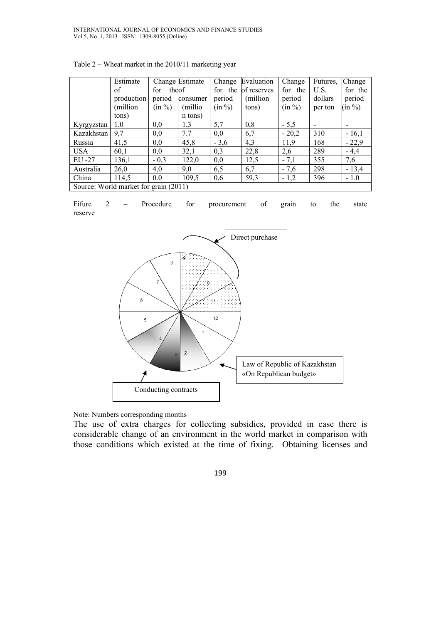|                                       | Estimate   |              | Change Estimate | Change  | Evaluation  | Change    | Futures. | Change  |  |  |
|---------------------------------------|------------|--------------|-----------------|---------|-------------|-----------|----------|---------|--|--|
|                                       | of         | for<br>theof |                 | for the | of reserves | for the   | U.S.     | for the |  |  |
|                                       | production | period       | consumer        | period  | (million)   | period    | dollars  | period  |  |  |
|                                       | million)   | $(in \%)$    | (millio)        | (in %)  | tons)       | $(in \%)$ | per ton  | (in %)  |  |  |
|                                       | tons)      |              | n tons)         |         |             |           |          |         |  |  |
| Kyrgyzstan                            | 1,0        | 0,0          | 1,3             | 5,7     | 0,8         | $-5,5$    |          |         |  |  |
| Kazakhstan                            | 9,7        | 0,0          | 7.7             | 0,0     | 6,7         | $-20,2$   | 310      | $-16,1$ |  |  |
| Russia                                | 41,5       | 0,0          | 45,8            | $-3,6$  | 4,3         | 11,9      | 168      | $-22,9$ |  |  |
| <b>USA</b>                            | 60,1       | 0,0          | 32,1            | 0,3     | 22,8        | 2,6       | 289      | $-4,4$  |  |  |
| EU -27                                | 136,1      | $-0,3$       | 122,0           | 0,0     | 12,5        | $-7,1$    | 355      | 7,6     |  |  |
| Australia                             | 26,0       | 4,0          | 9,0             | 6,5     | 6,7         | $-7,6$    | 298      | $-13,4$ |  |  |
| China                                 | 114,5      | 0.0          | 109,5           | 0,6     | 59,3        | $-1,2$    | 396      | $-1.0$  |  |  |
| Source: World market for grain (2011) |            |              |                 |         |             |           |          |         |  |  |

Table 2 – Wheat market in the 2010/11 marketing year

Fifure 2 – Procedure for procurement of grain to the state reserve



Note: Numbers corresponding months

The use of extra charges for collecting subsidies, provided in case there is considerable change of an environment in the world market in comparison with those conditions which existed at the time of fixing. Obtaining licenses and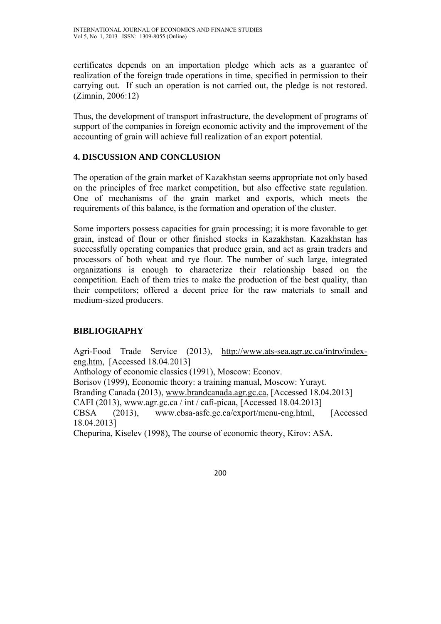certificates depends on an importation pledge which acts as a guarantee of realization of the foreign trade operations in time, specified in permission to their carrying out. If such an operation is not carried out, the pledge is not restored. (Zimnin, 2006:12)

Thus, the development of transport infrastructure, the development of programs of support of the companies in foreign economic activity and the improvement of the accounting of grain will achieve full realization of an export potential.

# **4. DISCUSSION AND CONCLUSION**

The operation of the grain market of Kazakhstan seems appropriate not only based on the principles of free market competition, but also effective state regulation. One of mechanisms of the grain market and exports, which meets the requirements of this balance, is the formation and operation of the cluster.

Some importers possess capacities for grain processing; it is more favorable to get grain, instead of flour or other finished stocks in Kazakhstan. Kazakhstan has successfully operating companies that produce grain, and act as grain traders and processors of both wheat and rye flour. The number of such large, integrated organizations is enough to characterize their relationship based on the competition. Each of them tries to make the production of the best quality, than their competitors; offered a decent price for the raw materials to small and medium-sized producers.

## **BIBLIOGRAPHY**

Agri-Food Trade Service (2013), http://www.ats-sea.agr.gc.ca/intro/indexeng.htm, [Accessed 18.04.2013] Anthology of economic classics (1991), Moscow: Econov. Borisov (1999), Economic theory: a training manual, Moscow: Yurayt. Branding Canada (2013), www.brandcanada.agr.gc.ca, [Accessed 18.04.2013] CAFI (2013), www.agr.gc.ca / int / cafi-picaa, [Accessed 18.04.2013] CBSA (2013), www.cbsa-asfc.gc.ca/export/menu-eng.html, [Accessed 18.04.2013] Chepurina, Kiselev (1998), The course of economic theory, Kirov: ASA.